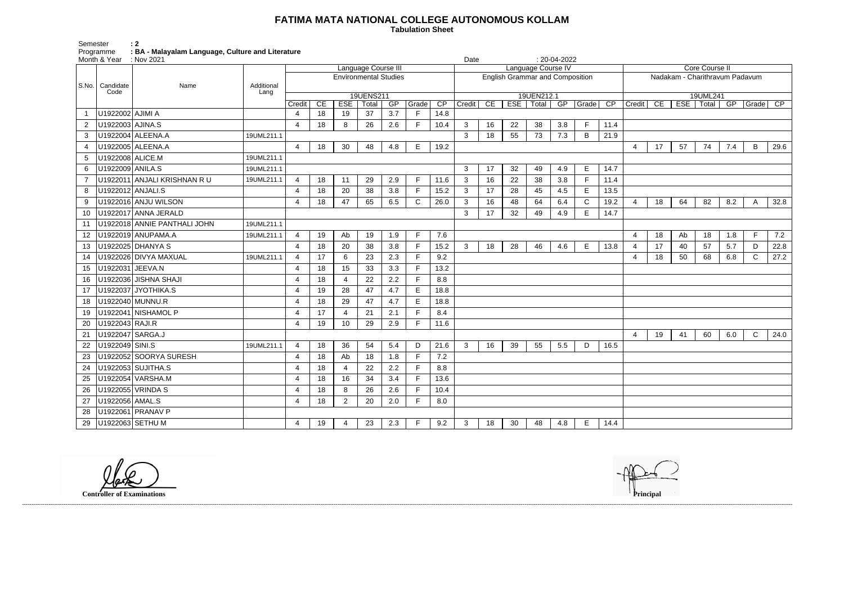## **FATIMA MATA NATIONAL COLLEGE AUTONOMOUS KOLLAM**

 **Tabulation Sheet** 

Semester : 2 Programme : BA - Malayalam Language, Culture and Literature

| Core Course II                        |    |       |                 |     |             |      |  |  |  |  |  |  |
|---------------------------------------|----|-------|-----------------|-----|-------------|------|--|--|--|--|--|--|
| Nadakam - Charithravum Padavum        |    |       |                 |     |             |      |  |  |  |  |  |  |
| 19UML241<br>GP<br><b>ESE</b><br>Total |    |       |                 |     |             |      |  |  |  |  |  |  |
| Credit                                | CE | Grade | $\overline{CP}$ |     |             |      |  |  |  |  |  |  |
|                                       |    |       |                 |     |             |      |  |  |  |  |  |  |
|                                       |    |       |                 |     |             |      |  |  |  |  |  |  |
|                                       |    |       |                 |     |             |      |  |  |  |  |  |  |
| $\overline{4}$                        | 17 | 57    | 74              | 7.4 | В           | 29.6 |  |  |  |  |  |  |
|                                       |    |       |                 |     |             |      |  |  |  |  |  |  |
|                                       |    |       |                 |     |             |      |  |  |  |  |  |  |
|                                       |    |       |                 |     |             |      |  |  |  |  |  |  |
| 4                                     | 18 | 64    | 82              | 8.2 | A           | 32.8 |  |  |  |  |  |  |
|                                       |    |       |                 |     |             |      |  |  |  |  |  |  |
|                                       |    |       |                 |     |             |      |  |  |  |  |  |  |
| 4                                     | 18 | Ab    | 18              | 1.8 | F           | 7.2  |  |  |  |  |  |  |
| $\overline{4}$                        | 17 | 40    | 57              | 5.7 | D           | 22.8 |  |  |  |  |  |  |
| $\overline{\mathbf{4}}$               | 18 | 50    | 68              | 6.8 | C           | 27.2 |  |  |  |  |  |  |
|                                       |    |       |                 |     |             |      |  |  |  |  |  |  |
|                                       |    |       |                 |     |             |      |  |  |  |  |  |  |
|                                       |    |       |                 |     |             |      |  |  |  |  |  |  |
|                                       |    |       |                 |     |             |      |  |  |  |  |  |  |
|                                       |    |       |                 |     |             |      |  |  |  |  |  |  |
| $\overline{\mathbf{4}}$               | 19 | 41    | 60              | 6.0 | $\mathsf C$ | 24.0 |  |  |  |  |  |  |
|                                       |    |       |                 |     |             |      |  |  |  |  |  |  |
|                                       |    |       |                 |     |             |      |  |  |  |  |  |  |
|                                       |    |       |                 |     |             |      |  |  |  |  |  |  |
|                                       |    |       |                 |     |             |      |  |  |  |  |  |  |
|                                       |    |       |                 |     |             |      |  |  |  |  |  |  |
|                                       |    |       |                 |     |             |      |  |  |  |  |  |  |
|                                       |    |       |                 |     |             |      |  |  |  |  |  |  |
|                                       |    |       |                 |     |             |      |  |  |  |  |  |  |

|                           | Month & Year : Nov 2021 |                              |                    |                              |    |                |                     |     |              |      | Date                                   |    |    |            | $: 20-04-2022$ |                          |                 |                                |    |    |                               |     |                |      |
|---------------------------|-------------------------|------------------------------|--------------------|------------------------------|----|----------------|---------------------|-----|--------------|------|----------------------------------------|----|----|------------|----------------|--------------------------|-----------------|--------------------------------|----|----|-------------------------------|-----|----------------|------|
|                           |                         |                              |                    |                              |    |                | Language Course III |     |              |      | Language Course IV                     |    |    |            |                |                          |                 | <b>Core Course II</b>          |    |    |                               |     |                |      |
| S.No.   Candidate<br>Code |                         |                              |                    | <b>Environmental Studies</b> |    |                |                     |     |              |      | <b>English Grammar and Composition</b> |    |    |            |                |                          |                 | Nadakam - Charithravum Padavum |    |    |                               |     |                |      |
|                           |                         | Name                         | Additional<br>Lang |                              |    |                | 19UENS211           |     |              |      |                                        |    |    | 19UEN212.1 |                |                          |                 | 19UML241                       |    |    |                               |     |                |      |
|                           |                         |                              |                    | Credit                       | CE | <b>ESE</b>     | Total               | GP  | Grade        | CP   | Credit CE                              |    |    |            |                | ESE   Total   GP   Grade | $\overline{CP}$ | Credit CE                      |    |    | ESE   Total   GP   Grade   CP |     |                |      |
| $\overline{1}$            | U1922002 AJIMI A        |                              |                    | 4                            | 18 | 19             | 37                  | 3.7 | F            | 14.8 |                                        |    |    |            |                |                          |                 |                                |    |    |                               |     |                |      |
| 2                         | U1922003 AJINA.S        |                              |                    | $\overline{4}$               | 18 | 8              | 26                  | 2.6 | F            | 10.4 | 3                                      | 16 | 22 | 38         | 3.8            | F                        | 11.4            |                                |    |    |                               |     |                |      |
| 3                         |                         | U1922004 ALEENA.A            | 19UML211.1         |                              |    |                |                     |     |              |      | 3                                      | 18 | 55 | 73         | 7.3            | B                        | 21.9            |                                |    |    |                               |     |                |      |
| 4                         |                         | U1922005 ALEENA.A            |                    | $\overline{4}$               | 18 | 30             | 48                  | 4.8 | E.           | 19.2 |                                        |    |    |            |                |                          |                 | 4                              | 17 | 57 | 74                            | 7.4 | B              | 29.6 |
| 5                         | U1922008 ALICE.M        |                              | 19UML211.1         |                              |    |                |                     |     |              |      |                                        |    |    |            |                |                          |                 |                                |    |    |                               |     |                |      |
| 6                         | U1922009 ANILA.S        |                              | 19UML211.1         |                              |    |                |                     |     |              |      | 3                                      | 17 | 32 | 49         | 4.9            | Е                        | 14.7            |                                |    |    |                               |     |                |      |
| $\overline{7}$            |                         | U1922011 ANJALI KRISHNAN R U | 19UML211.1         | $\overline{4}$               | 18 | 11             | 29                  | 2.9 | F            | 11.6 | $\mathbf{3}$                           | 16 | 22 | 38         | 3.8            | F                        | 11.4            |                                |    |    |                               |     |                |      |
| 8                         |                         | U1922012 ANJALI.S            |                    | $\overline{4}$               | 18 | 20             | 38                  | 3.8 | F.           | 15.2 | $\mathbf{3}$                           | 17 | 28 | 45         | 4.5            | E                        | 13.5            |                                |    |    |                               |     |                |      |
| 9                         |                         | U1922016 ANJU WILSON         |                    | 4                            | 18 | 47             | 65                  | 6.5 | $\mathsf{C}$ | 26.0 | $\mathbf{3}$                           | 16 | 48 | 64         | 6.4            | $\mathsf{C}$             | 19.2            | 4                              | 18 | 64 | 82                            | 8.2 | $\overline{A}$ | 32.8 |
| 10                        |                         | U1922017 ANNA JERALD         |                    |                              |    |                |                     |     |              |      | $\mathbf{3}$                           | 17 | 32 | 49         | 4.9            | E                        | 14.7            |                                |    |    |                               |     |                |      |
| 11                        |                         | U1922018 ANNIE PANTHALI JOHN | 19UML211.1         |                              |    |                |                     |     |              |      |                                        |    |    |            |                |                          |                 |                                |    |    |                               |     |                |      |
| 12                        |                         | U1922019 ANUPAMA.A           | 19UML211.1         | $\overline{4}$               | 19 | Ab             | 19                  | 1.9 | F.           | 7.6  |                                        |    |    |            |                |                          |                 | 4                              | 18 | Ab | 18                            | 1.8 | F              | 7.2  |
| 13                        |                         | U1922025 DHANYA S            |                    | $\overline{4}$               | 18 | 20             | 38                  | 3.8 | F.           | 15.2 | 3                                      | 18 | 28 | 46         | 4.6            | E                        | 13.8            | 4                              | 17 | 40 | 57                            | 5.7 | D              | 22.8 |
| 14                        |                         | U1922026 DIVYA MAXUAL        | 19UML211.1         | $\overline{4}$               | 17 | 6              | 23                  | 2.3 | F.           | 9.2  |                                        |    |    |            |                |                          |                 | $\overline{4}$                 | 18 | 50 | 68                            | 6.8 | $\mathsf{C}$   | 27.2 |
| 15                        | U1922031 JEEVA.N        |                              |                    | $\overline{4}$               | 18 | 15             | 33                  | 3.3 | F            | 13.2 |                                        |    |    |            |                |                          |                 |                                |    |    |                               |     |                |      |
| 16                        |                         | U1922036 JISHNA SHAJI        |                    | $\overline{4}$               | 18 | $\overline{4}$ | 22                  | 2.2 | F.           | 8.8  |                                        |    |    |            |                |                          |                 |                                |    |    |                               |     |                |      |
| 17                        |                         | U1922037 JYOTHIKA.S          |                    | $\overline{4}$               | 19 | 28             | 47                  | 4.7 | E            | 18.8 |                                        |    |    |            |                |                          |                 |                                |    |    |                               |     |                |      |
| 18                        |                         | U1922040 MUNNU.R             |                    | $\overline{4}$               | 18 | 29             | 47                  | 4.7 | E            | 18.8 |                                        |    |    |            |                |                          |                 |                                |    |    |                               |     |                |      |
| 19                        |                         | U1922041 NISHAMOL P          |                    | $\overline{4}$               | 17 | $\overline{4}$ | 21                  | 2.1 | F            | 8.4  |                                        |    |    |            |                |                          |                 |                                |    |    |                               |     |                |      |
| 20                        | U1922043 RAJI.R         |                              |                    | $\overline{4}$               | 19 | 10             | 29                  | 2.9 | F            | 11.6 |                                        |    |    |            |                |                          |                 |                                |    |    |                               |     |                |      |
| 21                        |                         | U1922047 SARGA.J             |                    |                              |    |                |                     |     |              |      |                                        |    |    |            |                |                          |                 | $\overline{4}$                 | 19 | 41 | 60                            | 6.0 | $\mathsf{C}$   | 24.0 |
| 22                        | U1922049 SINI.S         |                              | 19UML211.1         | $\overline{4}$               | 18 | 36             | 54                  | 5.4 | D            | 21.6 | $\mathbf{3}$                           | 16 | 39 | 55         | 5.5            | D                        | 16.5            |                                |    |    |                               |     |                |      |
| 23                        |                         | U1922052 SOORYA SURESH       |                    | $\overline{4}$               | 18 | Ab             | 18                  | 1.8 | F.           | 7.2  |                                        |    |    |            |                |                          |                 |                                |    |    |                               |     |                |      |
| 24                        |                         | U1922053 SUJITHA.S           |                    | $\overline{4}$               | 18 | 4              | 22                  | 2.2 | F            | 8.8  |                                        |    |    |            |                |                          |                 |                                |    |    |                               |     |                |      |
| 25                        |                         | U1922054 VARSHA.M            |                    | 4                            | 18 | 16             | 34                  | 3.4 | F            | 13.6 |                                        |    |    |            |                |                          |                 |                                |    |    |                               |     |                |      |
| 26                        |                         | U1922055 VRINDA S            |                    | $\overline{4}$               | 18 | 8              | 26                  | 2.6 | F            | 10.4 |                                        |    |    |            |                |                          |                 |                                |    |    |                               |     |                |      |
| 27                        | U1922056 AMAL.S         |                              |                    | 4                            | 18 | $\overline{2}$ | 20                  | 2.0 | F.           | 8.0  |                                        |    |    |            |                |                          |                 |                                |    |    |                               |     |                |      |
| 28                        |                         | U1922061 PRANAV P            |                    |                              |    |                |                     |     |              |      |                                        |    |    |            |                |                          |                 |                                |    |    |                               |     |                |      |
| 29                        |                         | U1922063 SETHU M             |                    | 4                            | 19 | 4              | 23                  | 2.3 | F.           | 9.2  | 3                                      | 18 | 30 | 48         | 4.8            | E                        | 14.4            |                                |    |    |                               |     |                |      |

------------------------------------------------------------------------------------------------------------------------------------------------------------------------------------------------------------------------------------------------------------------------------------------------------------------------------------------------------------------------------------------------------------------------

**Controller of Examinations**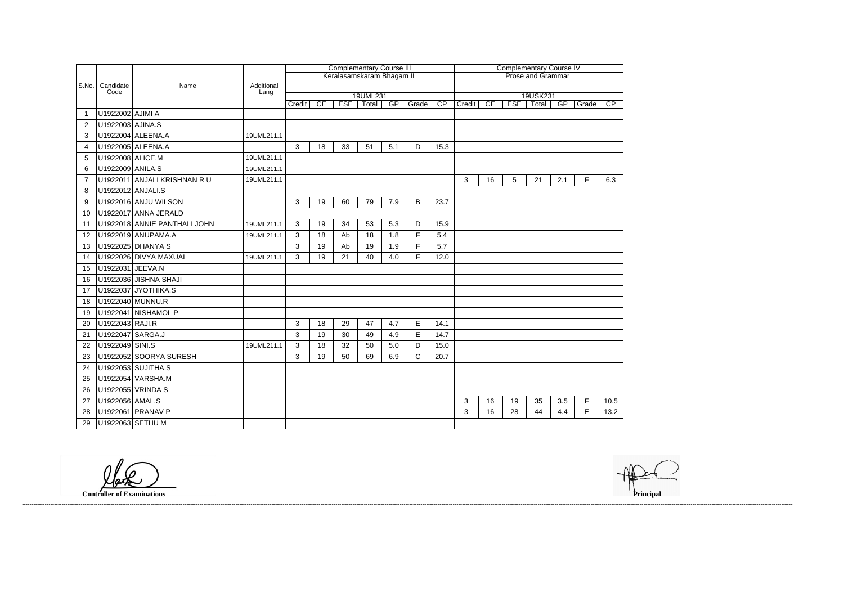|                |                   |                              |                    | <b>Complementary Course III</b><br>Keralasamskaram Bhagam II |                          |            |                          |     |              |                 |        | <b>Complementary Course IV</b> |            |                   |     |       |                 |  |  |  |  |
|----------------|-------------------|------------------------------|--------------------|--------------------------------------------------------------|--------------------------|------------|--------------------------|-----|--------------|-----------------|--------|--------------------------------|------------|-------------------|-----|-------|-----------------|--|--|--|--|
|                |                   |                              |                    |                                                              | <b>Prose and Grammar</b> |            |                          |     |              |                 |        |                                |            |                   |     |       |                 |  |  |  |  |
| S.No.          | Candidate<br>Code | Name                         | Additional<br>Lang |                                                              |                          |            |                          |     |              |                 |        |                                |            |                   |     |       |                 |  |  |  |  |
|                |                   |                              |                    | Credit                                                       | CE                       | <b>ESE</b> | 19UML231<br><b>Total</b> | GP  | Grade        | $\overline{CP}$ | Credit | CE                             | <b>ESE</b> | 19USK231<br>Total | GP  | Grade | $\overline{CP}$ |  |  |  |  |
|                | U1922002 AJIMI A  |                              |                    |                                                              |                          |            |                          |     |              |                 |        |                                |            |                   |     |       |                 |  |  |  |  |
| 2              | U1922003 AJINA.S  |                              |                    |                                                              |                          |            |                          |     |              |                 |        |                                |            |                   |     |       |                 |  |  |  |  |
| 3              |                   | U1922004 ALEENA.A            | 19UML211.1         |                                                              |                          |            |                          |     |              |                 |        |                                |            |                   |     |       |                 |  |  |  |  |
| $\overline{4}$ |                   | U1922005 ALEENA.A            |                    | 3                                                            | 18                       | 33         | 51                       | 5.1 | D            | 15.3            |        |                                |            |                   |     |       |                 |  |  |  |  |
| 5              | U1922008 ALICE.M  |                              | 19UML211.1         |                                                              |                          |            |                          |     |              |                 |        |                                |            |                   |     |       |                 |  |  |  |  |
| 6              | U1922009 ANILA.S  |                              | 19UML211.1         |                                                              |                          |            |                          |     |              |                 |        |                                |            |                   |     |       |                 |  |  |  |  |
| 7              |                   | U1922011 ANJALI KRISHNAN RU  | 19UML211.1         |                                                              |                          |            |                          |     |              |                 | 3      | 16                             | 5          | 21                | 2.1 | F     | 6.3             |  |  |  |  |
| 8              | U1922012 ANJALI.S |                              |                    |                                                              |                          |            |                          |     |              |                 |        |                                |            |                   |     |       |                 |  |  |  |  |
| 9              |                   | U1922016 ANJU WILSON         |                    | 3                                                            | 19                       | 60         | 79                       | 7.9 | B            | 23.7            |        |                                |            |                   |     |       |                 |  |  |  |  |
| 10             |                   | U1922017 ANNA JERALD         |                    |                                                              |                          |            |                          |     |              |                 |        |                                |            |                   |     |       |                 |  |  |  |  |
| 11             |                   | U1922018 ANNIE PANTHALI JOHN | 19UML211.1         | 3                                                            | 19                       | 34         | 53                       | 5.3 | D            | 15.9            |        |                                |            |                   |     |       |                 |  |  |  |  |
| 12             |                   | U1922019 ANUPAMA.A           | 19UML211.1         | 3                                                            | 18                       | Ab         | 18                       | 1.8 | F            | 5.4             |        |                                |            |                   |     |       |                 |  |  |  |  |
| 13             |                   | U1922025 DHANYA S            |                    | 3                                                            | 19                       | Ab         | 19                       | 1.9 | F            | 5.7             |        |                                |            |                   |     |       |                 |  |  |  |  |
| 14             |                   | U1922026 DIVYA MAXUAL        | 19UML211.1         | 3                                                            | 19                       | 21         | 40                       | 4.0 | F            | 12.0            |        |                                |            |                   |     |       |                 |  |  |  |  |
| 15             | U1922031 JEEVA.N  |                              |                    |                                                              |                          |            |                          |     |              |                 |        |                                |            |                   |     |       |                 |  |  |  |  |
| 16             |                   | U1922036 JISHNA SHAJI        |                    |                                                              |                          |            |                          |     |              |                 |        |                                |            |                   |     |       |                 |  |  |  |  |
| 17             |                   | U1922037 JYOTHIKA.S          |                    |                                                              |                          |            |                          |     |              |                 |        |                                |            |                   |     |       |                 |  |  |  |  |
| 18             |                   | U1922040 MUNNU.R             |                    |                                                              |                          |            |                          |     |              |                 |        |                                |            |                   |     |       |                 |  |  |  |  |
| 19             |                   | U1922041 NISHAMOL P          |                    |                                                              |                          |            |                          |     |              |                 |        |                                |            |                   |     |       |                 |  |  |  |  |
| 20             | U1922043 RAJI.R   |                              |                    | $\mathbf{3}$                                                 | 18                       | 29         | 47                       | 4.7 | $\mathsf E$  | 14.1            |        |                                |            |                   |     |       |                 |  |  |  |  |
| 21             | U1922047 SARGA.J  |                              |                    | 3                                                            | 19                       | 30         | 49                       | 4.9 | E            | 14.7            |        |                                |            |                   |     |       |                 |  |  |  |  |
| 22             | U1922049 SINI.S   |                              | 19UML211.1         | $\mathbf{3}$                                                 | 18                       | 32         | 50                       | 5.0 | D            | 15.0            |        |                                |            |                   |     |       |                 |  |  |  |  |
| 23             |                   | U1922052 SOORYA SURESH       |                    | 3                                                            | 19                       | 50         | 69                       | 6.9 | $\mathsf{C}$ | 20.7            |        |                                |            |                   |     |       |                 |  |  |  |  |
| 24             |                   | U1922053 SUJITHA.S           |                    |                                                              |                          |            |                          |     |              |                 |        |                                |            |                   |     |       |                 |  |  |  |  |
| 25             |                   | U1922054 VARSHA.M            |                    |                                                              |                          |            |                          |     |              |                 |        |                                |            |                   |     |       |                 |  |  |  |  |
| 26             |                   | U1922055 VRINDA S            |                    |                                                              |                          |            |                          |     |              |                 |        |                                |            |                   |     |       |                 |  |  |  |  |
| 27             | U1922056 AMAL.S   |                              |                    |                                                              |                          |            |                          |     |              |                 | 3      | 16                             | 19         | 35                | 3.5 | F     | 10.5            |  |  |  |  |
| 28             |                   | U1922061 PRANAV P            |                    |                                                              |                          |            |                          |     |              |                 | 3      | 16                             | 28         | 44                | 4.4 | E     | 13.2            |  |  |  |  |
| 29             |                   | U1922063 SETHU M             |                    |                                                              |                          |            |                          |     |              |                 |        |                                |            |                   |     |       |                 |  |  |  |  |

**Controller of Examinations Principal**

------------------------------------------------------------------------------------------------------------------------------------------------------------------------------------------------------------------------------------------------------------------------------------------------------------------------------------------------------------------------------------------------------------------------